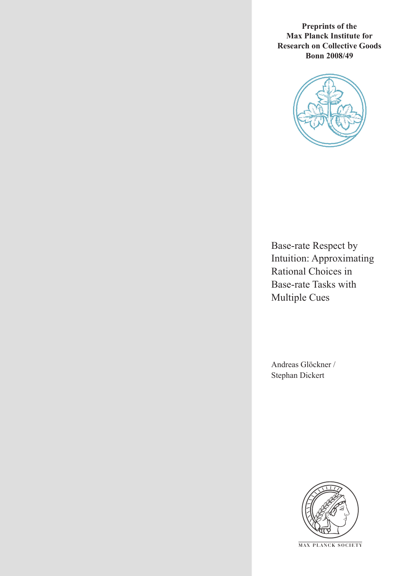**Preprints of the Max Planck Institute for Research on Collective Goods Bonn 2008/49**



Base-rate Respect by Intuition: Approximating Rational Choices in Base-rate Tasks with Multiple Cues

Andreas Glöckner / Stephan Dickert



**M AX P L A N C K S O C I E T Y**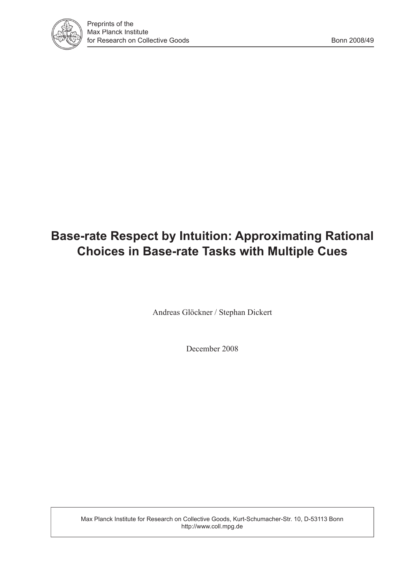

# **Base-rate Respect by Intuition: Approximating Rational Choices in Base-rate Tasks with Multiple Cues**

Andreas Glöckner / Stephan Dickert

December 2008

Max Planck Institute for Research on Collective Goods, Kurt-Schumacher-Str. 10, D-53113 Bonn http://www.coll.mpg.de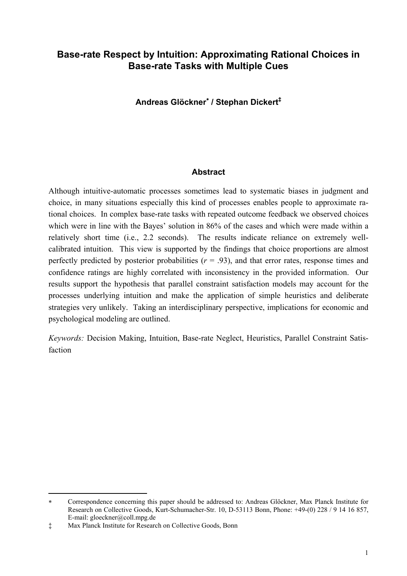# **Base-rate Respect by Intuition: Approximating Rational Choices in Base-rate Tasks with Multiple Cues**

**Andreas Glöckner**<sup>∗</sup>  **/ Stephan Dickert‡**

### **Abstract**

Although intuitive-automatic processes sometimes lead to systematic biases in judgment and choice, in many situations especially this kind of processes enables people to approximate rational choices. In complex base-rate tasks with repeated outcome feedback we observed choices which were in line with the Bayes' solution in 86% of the cases and which were made within a relatively short time (i.e., 2.2 seconds). The results indicate reliance on extremely wellcalibrated intuition. This view is supported by the findings that choice proportions are almost perfectly predicted by posterior probabilities  $(r = .93)$ , and that error rates, response times and confidence ratings are highly correlated with inconsistency in the provided information. Our results support the hypothesis that parallel constraint satisfaction models may account for the processes underlying intuition and make the application of simple heuristics and deliberate strategies very unlikely. Taking an interdisciplinary perspective, implications for economic and psychological modeling are outlined.

*Keywords:* Decision Making, Intuition, Base-rate Neglect, Heuristics, Parallel Constraint Satisfaction

j

<sup>∗</sup> Correspondence concerning this paper should be addressed to: Andreas Glöckner, Max Planck Institute for Research on Collective Goods, Kurt-Schumacher-Str. 10, D-53113 Bonn, Phone: +49-(0) 228 / 9 14 16 857, E-mail: gloeckner@coll.mpg.de

<sup>‡</sup> Max Planck Institute for Research on Collective Goods, Bonn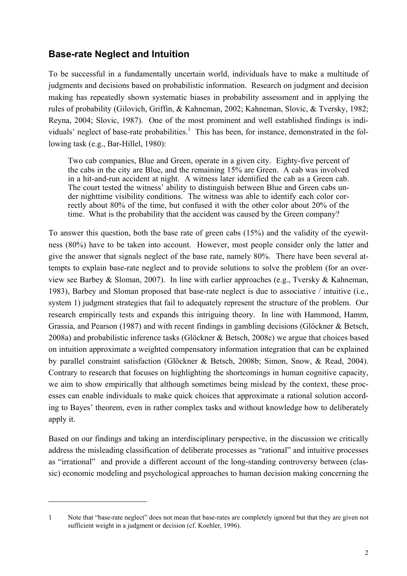# **Base-rate Neglect and Intuition**

j

To be successful in a fundamentally uncertain world, individuals have to make a multitude of judgments and decisions based on probabilistic information. Research on judgment and decision making has repeatedly shown systematic biases in probability assessment and in applying the rules of probability (Gilovich, Griffin, & Kahneman, 2002; Kahneman, Slovic, & Tversky, 1982; Reyna, 2004; Slovic, 1987). One of the most prominent and well established findings is individuals' neglect of base-rate probabilities.<sup>1</sup> This has been, for instance, demonstrated in the following task (e.g., Bar-Hillel, 1980):

Two cab companies, Blue and Green, operate in a given city. Eighty-five percent of the cabs in the city are Blue, and the remaining 15% are Green. A cab was involved in a hit-and-run accident at night. A witness later identified the cab as a Green cab. The court tested the witness' ability to distinguish between Blue and Green cabs under nighttime visibility conditions. The witness was able to identify each color correctly about 80% of the time, but confused it with the other color about 20% of the time. What is the probability that the accident was caused by the Green company?

To answer this question, both the base rate of green cabs (15%) and the validity of the eyewitness (80%) have to be taken into account. However, most people consider only the latter and give the answer that signals neglect of the base rate, namely 80%. There have been several attempts to explain base-rate neglect and to provide solutions to solve the problem (for an overview see Barbey & Sloman, 2007). In line with earlier approaches (e.g., Tversky & Kahneman, 1983), Barbey and Sloman proposed that base-rate neglect is due to associative / intuitive (i.e., system 1) judgment strategies that fail to adequately represent the structure of the problem. Our research empirically tests and expands this intriguing theory. In line with Hammond, Hamm, Grassia, and Pearson (1987) and with recent findings in gambling decisions (Glöckner & Betsch, 2008a) and probabilistic inference tasks (Glöckner & Betsch, 2008c) we argue that choices based on intuition approximate a weighted compensatory information integration that can be explained by parallel constraint satisfaction (Glöckner & Betsch, 2008b; Simon, Snow, & Read, 2004). Contrary to research that focuses on highlighting the shortcomings in human cognitive capacity, we aim to show empirically that although sometimes being mislead by the context, these processes can enable individuals to make quick choices that approximate a rational solution according to Bayes' theorem, even in rather complex tasks and without knowledge how to deliberately apply it.

Based on our findings and taking an interdisciplinary perspective, in the discussion we critically address the misleading classification of deliberate processes as "rational" and intuitive processes as "irrational" and provide a different account of the long-standing controversy between (classic) economic modeling and psychological approaches to human decision making concerning the

<sup>1</sup> Note that "base-rate neglect" does not mean that base-rates are completely ignored but that they are given not sufficient weight in a judgment or decision (cf. Koehler, 1996).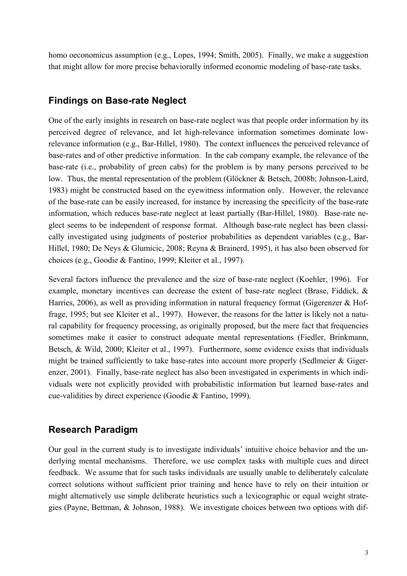homo oeconomicus assumption (e.g., Lopes, 1994; Smith, 2005). Finally, we make a suggestion that might allow for more precise behaviorally informed economic modeling of base-rate tasks.

# **Findings on Base-rate Neglect**

One of the early insights in research on base-rate neglect was that people order information by its perceived degree of relevance, and let high-relevance information sometimes dominate lowrelevance information (e.g., Bar-Hillel, 1980). The context influences the perceived relevance of base-rates and of other predictive information. In the cab company example, the relevance of the base-rate (i.e., probability of green cabs) for the problem is by many persons perceived to be low. Thus, the mental representation of the problem (Glöckner & Betsch, 2008b; Johnson-Laird, 1983) might be constructed based on the eyewitness information only. However, the relevance of the base-rate can be easily increased, for instance by increasing the specificity of the base-rate information, which reduces base-rate neglect at least partially (Bar-Hillel, 1980). Base-rate neglect seems to be independent of response format. Although base-rate neglect has been classically investigated using judgments of posterior probabilities as dependent variables (e.g., Bar-Hillel, 1980; De Neys & Glumicic, 2008; Reyna & Brainerd, 1995), it has also been observed for choices (e.g., Goodie & Fantino, 1999; Kleiter et al., 1997).

Several factors influence the prevalence and the size of base-rate neglect (Koehler, 1996). For example, monetary incentives can decrease the extent of base-rate neglect (Brase, Fiddick, & Harries, 2006), as well as providing information in natural frequency format (Gigerenzer & Hoffrage, 1995; but see Kleiter et al., 1997). However, the reasons for the latter is likely not a natural capability for frequency processing, as originally proposed, but the mere fact that frequencies sometimes make it easier to construct adequate mental representations (Fiedler, Brinkmann, Betsch, & Wild, 2000; Kleiter et al., 1997). Furthermore, some evidence exists that individuals might be trained sufficiently to take base-rates into account more properly (Sedlmeier  $\&$  Gigerenzer, 2001). Finally, base-rate neglect has also been investigated in experiments in which individuals were not explicitly provided with probabilistic information but learned base-rates and cue-validities by direct experience (Goodie & Fantino, 1999).

# **Research Paradigm**

Our goal in the current study is to investigate individuals' intuitive choice behavior and the underlying mental mechanisms. Therefore, we use complex tasks with multiple cues and direct feedback. We assume that for such tasks individuals are usually unable to deliberately calculate correct solutions without sufficient prior training and hence have to rely on their intuition or might alternatively use simple deliberate heuristics such a lexicographic or equal weight strategies (Payne, Bettman, & Johnson, 1988). We investigate choices between two options with dif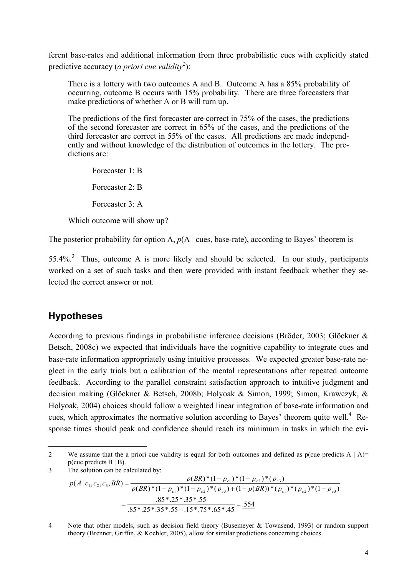ferent base-rates and additional information from three probabilistic cues with explicitly stated predictive accuracy (*a priori cue validity*<sup>2</sup>):

There is a lottery with two outcomes A and B. Outcome A has a 85% probability of occurring, outcome B occurs with 15% probability. There are three forecasters that make predictions of whether A or B will turn up.

The predictions of the first forecaster are correct in 75% of the cases, the predictions of the second forecaster are correct in 65% of the cases, and the predictions of the third forecaster are correct in 55% of the cases. All predictions are made independently and without knowledge of the distribution of outcomes in the lottery. The predictions are:

Forecaster 1: B Forecaster 2: B Forecaster 3: A Which outcome will show up?

The posterior probability for option A,  $p(A \mid \text{cues, base-rate})$ , according to Bayes' theorem is

55.4%.<sup>3</sup> Thus, outcome A is more likely and should be selected. In our study, participants worked on a set of such tasks and then were provided with instant feedback whether they selected the correct answer or not.

# **Hypotheses**

According to previous findings in probabilistic inference decisions (Bröder, 2003; Glöckner & Betsch, 2008c) we expected that individuals have the cognitive capability to integrate cues and base-rate information appropriately using intuitive processes. We expected greater base-rate neglect in the early trials but a calibration of the mental representations after repeated outcome feedback. According to the parallel constraint satisfaction approach to intuitive judgment and decision making (Glöckner & Betsch, 2008b; Holyoak & Simon, 1999; Simon, Krawczyk, & Holyoak, 2004) choices should follow a weighted linear integration of base-rate information and cues, which approximates the normative solution according to Bayes' theorem quite well.<sup>4</sup> Response times should peak and confidence should reach its minimum in tasks in which the evi-

j 2 We assume that the a priori cue validity is equal for both outcomes and defined as p(cue predicts  $A | A$ )=  $p$ (cue predicts B | B). 3 The solution can be calculated by:

$$
p(A|c_1, c_2, c_3, BR) = \frac{p(BR)^*(1 - p_{c1})^*(1 - p_{c2})^*(p_{c3})}{p(BR)^*(1 - p_{c1})^*(1 - p_{c2})^*(p_{c3}) + (1 - p(BR))^*(p_{c1})^*(p_{c2})^*(1 - p_{c3})}
$$
  
= 
$$
\frac{.85^* .25^* .35^* .55}{.85^* .25^* .35^* .55 + .15^* .75^* .65^* .45} = \frac{.554}{.85^* .85}
$$

4 Note that other models, such as decision field theory (Busemeyer & Townsend, 1993) or random support theory (Brenner, Griffin, & Koehler, 2005), allow for similar predictions concerning choices.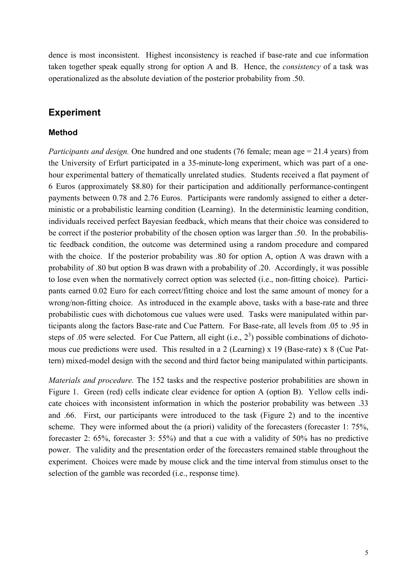dence is most inconsistent. Highest inconsistency is reached if base-rate and cue information taken together speak equally strong for option A and B. Hence, the *consistency* of a task was operationalized as the absolute deviation of the posterior probability from .50.

# **Experiment**

## **Method**

*Participants and design.* One hundred and one students (76 female; mean age = 21.4 years) from the University of Erfurt participated in a 35-minute-long experiment, which was part of a onehour experimental battery of thematically unrelated studies. Students received a flat payment of 6 Euros (approximately \$8.80) for their participation and additionally performance-contingent payments between 0.78 and 2.76 Euros. Participants were randomly assigned to either a deterministic or a probabilistic learning condition (Learning). In the deterministic learning condition, individuals received perfect Bayesian feedback, which means that their choice was considered to be correct if the posterior probability of the chosen option was larger than .50. In the probabilistic feedback condition, the outcome was determined using a random procedure and compared with the choice. If the posterior probability was .80 for option A, option A was drawn with a probability of .80 but option B was drawn with a probability of .20. Accordingly, it was possible to lose even when the normatively correct option was selected (i.e., non-fitting choice). Participants earned 0.02 Euro for each correct/fitting choice and lost the same amount of money for a wrong/non-fitting choice. As introduced in the example above, tasks with a base-rate and three probabilistic cues with dichotomous cue values were used. Tasks were manipulated within participants along the factors Base-rate and Cue Pattern. For Base-rate, all levels from .05 to .95 in steps of .05 were selected. For Cue Pattern, all eight (i.e.,  $2<sup>3</sup>$ ) possible combinations of dichotomous cue predictions were used. This resulted in a 2 (Learning) x 19 (Base-rate) x 8 (Cue Pattern) mixed-model design with the second and third factor being manipulated within participants.

*Materials and procedure.* The 152 tasks and the respective posterior probabilities are shown in Figure 1. Green (red) cells indicate clear evidence for option A (option B). Yellow cells indicate choices with inconsistent information in which the posterior probability was between .33 and .66. First, our participants were introduced to the task (Figure 2) and to the incentive scheme. They were informed about the (a priori) validity of the forecasters (forecaster 1: 75%, forecaster 2: 65%, forecaster 3: 55%) and that a cue with a validity of 50% has no predictive power. The validity and the presentation order of the forecasters remained stable throughout the experiment. Choices were made by mouse click and the time interval from stimulus onset to the selection of the gamble was recorded (i.e., response time).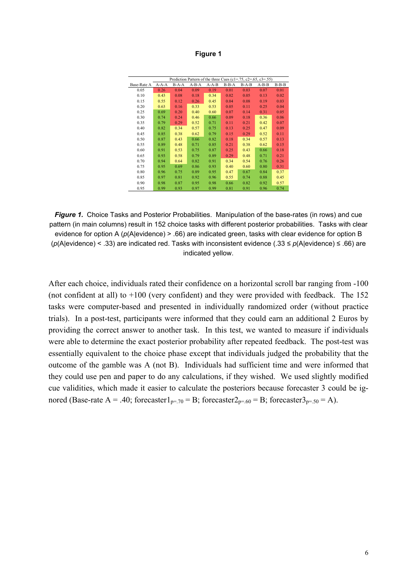| laur<br>o |  |
|-----------|--|
|-----------|--|

| Prediction Pattern of the three Cues (c1=.75, c2=.65, c3=.55) |         |       |         |             |         |         |         |         |  |  |  |  |  |
|---------------------------------------------------------------|---------|-------|---------|-------------|---------|---------|---------|---------|--|--|--|--|--|
| Base-Rate A                                                   | $A-A-A$ | B-A-A | $A-B-A$ | $A - A - B$ | $B-B-A$ | $B-A-B$ | $A-B-B$ | $B-B-B$ |  |  |  |  |  |
| 0.05                                                          | 0.26    | 0.04  | 0.09    | 0.19        | 0.01    | 0.03    | 0.07    | 0.01    |  |  |  |  |  |
| 0.10                                                          | 0.43    | 0.08  | 0.18    | 0.34        | 0.02    | 0.05    | 0.13    | 0.02    |  |  |  |  |  |
| 0.15                                                          | 0.55    | 0.12  | 0.26    | 0.45        | 0.04    | 0.08    | 0.19    | 0.03    |  |  |  |  |  |
| 0.20                                                          | 0.63    | 0.16  | 0.33    | 0.53        | 0.05    | 0.11    | 0.25    | 0.04    |  |  |  |  |  |
| 0.25                                                          | 0.69    | 0.20  | 0.40    | 0.60        | 0.07    | 0.14    | 0.31    | 0.05    |  |  |  |  |  |
| 0.30                                                          | 0.74    | 0.24  | 0.46    | 0.66        | 0.09    | 0.18    | 0.36    | 0.06    |  |  |  |  |  |
| 0.35                                                          | 0.79    | 0.29  | 0.52    | 0.71        | 0.11    | 0.21    | 0.42    | 0.07    |  |  |  |  |  |
| 0.40                                                          | 0.82    | 0.34  | 0.57    | 0.75        | 0.13    | 0.25    | 0.47    | 0.09    |  |  |  |  |  |
| 0.45                                                          | 0.85    | 0.38  | 0.62    | 0.79        | 0.15    | 0.29    | 0.52    | 0.11    |  |  |  |  |  |
| 0.50                                                          | 0.87    | 0.43  | 0.66    | 0.82        | 0.18    | 0.34    | 0.57    | 0.13    |  |  |  |  |  |
| 0.55                                                          | 0.89    | 0.48  | 0.71    | 0.85        | 0.21    | 0.38    | 0.62    | 0.15    |  |  |  |  |  |
| 0.60                                                          | 0.91    | 0.53  | 0.75    | 0.87        | 0.25    | 0.43    | 0.66    | 0.18    |  |  |  |  |  |
| 0.65                                                          | 0.93    | 0.58  | 0.79    | 0.89        | 0.29    | 0.48    | 0.71    | 0.21    |  |  |  |  |  |
| 0.70                                                          | 0.94    | 0.64  | 0.82    | 0.91        | 0.34    | 0.54    | 0.76    | 0.26    |  |  |  |  |  |
| 0.75                                                          | 0.95    | 0.69  | 0.86    | 0.93        | 0.40    | 0.60    | 0.80    | 0.31    |  |  |  |  |  |
| 0.80                                                          | 0.96    | 0.75  | 0.89    | 0.95        | 0.47    | 0.67    | 0.84    | 0.37    |  |  |  |  |  |
| 0.85                                                          | 0.97    | 0.81  | 0.92    | 0.96        | 0.55    | 0.74    | 0.88    | 0.45    |  |  |  |  |  |
| 0.90                                                          | 0.98    | 0.87  | 0.95    | 0.98        | 0.66    | 0.82    | 0.92    | 0.57    |  |  |  |  |  |
| 0.95                                                          | 0.99    | 0.93  | 0.97    | 0.99        | 0.81    | 0.91    | 0.96    | 0.74    |  |  |  |  |  |

*Figure 1.*Choice Tasks and Posterior Probabilities. Manipulation of the base-rates (in rows) and cue pattern (in main columns) result in 152 choice tasks with different posterior probabilities. Tasks with clear evidence for option A (*p*(A|evidence) > .66) are indicated green, tasks with clear evidence for option B (*p*(A|evidence) < .33) are indicated red. Tasks with inconsistent evidence (.33 ≤ *p*(A|evidence) ≤ .66) are indicated yellow.

After each choice, individuals rated their confidence on a horizontal scroll bar ranging from -100 (not confident at all) to +100 (very confident) and they were provided with feedback. The 152 tasks were computer-based and presented in individually randomized order (without practice trials). In a post-test, participants were informed that they could earn an additional 2 Euros by providing the correct answer to another task. In this test, we wanted to measure if individuals were able to determine the exact posterior probability after repeated feedback. The post-test was essentially equivalent to the choice phase except that individuals judged the probability that the outcome of the gamble was A (not B). Individuals had sufficient time and were informed that they could use pen and paper to do any calculations, if they wished. We used slightly modified cue validities, which made it easier to calculate the posteriors because forecaster 3 could be ignored (Base-rate  $A = .40$ ; forecaster $1_{p=70} = B$ ; forecaster $2_{p=.60} = B$ ; forecaster $3_{p=.50} = A$ ).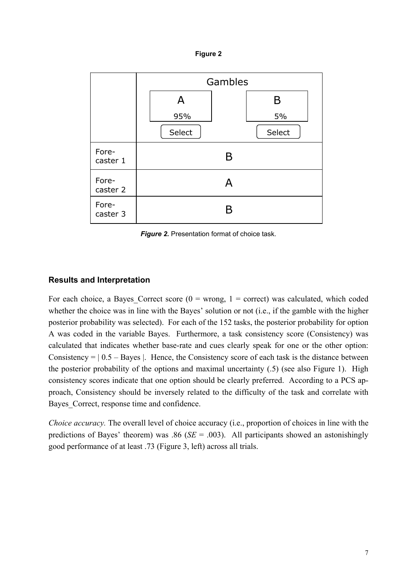



*Figure 2.* Presentation format of choice task.

## **Results and Interpretation**

For each choice, a Bayes Correct score ( $0 =$  wrong,  $1 =$  correct) was calculated, which coded whether the choice was in line with the Bayes' solution or not *(i.e., if the gamble with the higher* posterior probability was selected). For each of the 152 tasks, the posterior probability for option A was coded in the variable Bayes. Furthermore, a task consistency score (Consistency) was calculated that indicates whether base-rate and cues clearly speak for one or the other option: Consistency  $= | 0.5 - \text{Bayes} |$ . Hence, the Consistency score of each task is the distance between the posterior probability of the options and maximal uncertainty (.5) (see also Figure 1). High consistency scores indicate that one option should be clearly preferred. According to a PCS approach, Consistency should be inversely related to the difficulty of the task and correlate with Bayes Correct, response time and confidence.

*Choice accuracy.* The overall level of choice accuracy (i.e., proportion of choices in line with the predictions of Bayes' theorem) was .86 (*SE* = .003). All participants showed an astonishingly good performance of at least .73 (Figure 3, left) across all trials.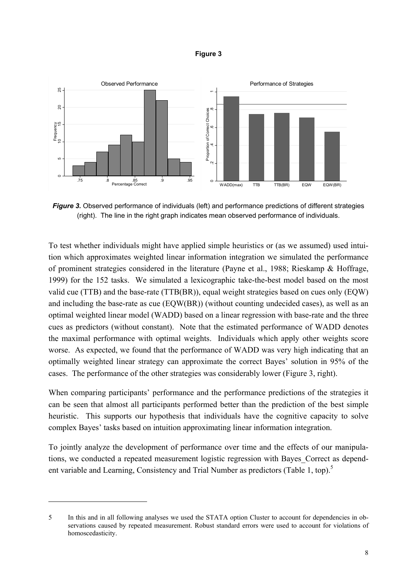



**Figure 3.** Observed performance of individuals (left) and performance predictions of different strategies (right). The line in the right graph indicates mean observed performance of individuals.

To test whether individuals might have applied simple heuristics or (as we assumed) used intuition which approximates weighted linear information integration we simulated the performance of prominent strategies considered in the literature (Payne et al., 1988; Rieskamp & Hoffrage, 1999) for the 152 tasks. We simulated a lexicographic take-the-best model based on the most valid cue (TTB) and the base-rate (TTB(BR)), equal weight strategies based on cues only (EQW) and including the base-rate as cue (EQW(BR)) (without counting undecided cases), as well as an optimal weighted linear model (WADD) based on a linear regression with base-rate and the three cues as predictors (without constant). Note that the estimated performance of WADD denotes the maximal performance with optimal weights. Individuals which apply other weights score worse. As expected, we found that the performance of WADD was very high indicating that an optimally weighted linear strategy can approximate the correct Bayes' solution in 95% of the cases. The performance of the other strategies was considerably lower (Figure 3, right).

When comparing participants' performance and the performance predictions of the strategies it can be seen that almost all participants performed better than the prediction of the best simple heuristic. This supports our hypothesis that individuals have the cognitive capacity to solve complex Bayes' tasks based on intuition approximating linear information integration.

To jointly analyze the development of performance over time and the effects of our manipulations, we conducted a repeated measurement logistic regression with Bayes\_Correct as dependent variable and Learning, Consistency and Trial Number as predictors (Table 1, top).<sup>5</sup>

j

<sup>5</sup> In this and in all following analyses we used the STATA option Cluster to account for dependencies in observations caused by repeated measurement. Robust standard errors were used to account for violations of homoscedasticity.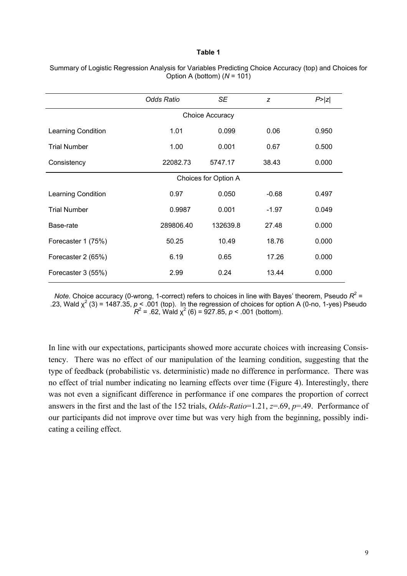#### **Table 1**

|                     | <b>Odds Ratio</b>    | <b>SE</b> | z       | P >  z |  |  |  |  |  |  |  |
|---------------------|----------------------|-----------|---------|--------|--|--|--|--|--|--|--|
|                     | Choice Accuracy      |           |         |        |  |  |  |  |  |  |  |
| Learning Condition  | 1.01                 | 0.099     | 0.06    | 0.950  |  |  |  |  |  |  |  |
| <b>Trial Number</b> | 1.00                 | 0.001     | 0.67    | 0.500  |  |  |  |  |  |  |  |
| Consistency         | 22082.73             | 5747.17   | 38.43   | 0.000  |  |  |  |  |  |  |  |
|                     | Choices for Option A |           |         |        |  |  |  |  |  |  |  |
| Learning Condition  | 0.97                 | 0.050     | $-0.68$ | 0.497  |  |  |  |  |  |  |  |
| <b>Trial Number</b> | 0.9987               | 0.001     | $-1.97$ | 0.049  |  |  |  |  |  |  |  |
| Base-rate           | 289806.40            | 132639.8  | 27.48   | 0.000  |  |  |  |  |  |  |  |
| Forecaster 1 (75%)  | 50.25                | 10.49     | 18.76   | 0.000  |  |  |  |  |  |  |  |
| Forecaster 2 (65%)  | 6.19                 | 0.65      | 17.26   | 0.000  |  |  |  |  |  |  |  |
| Forecaster 3 (55%)  | 2.99                 | 0.24      | 13.44   | 0.000  |  |  |  |  |  |  |  |

Summary of Logistic Regression Analysis for Variables Predicting Choice Accuracy (top) and Choices for Option A (bottom) (*N* = 101)

*Note.* Choice accuracy (0-wrong, 1-correct) refers to choices in line with Bayes' theorem, Pseudo  $R^2$  = .23, Wald  $\chi^2$  (3) = 1487.35,  $\rho$  < .001 (top). In the regression of choices for option A (0-no, 1-yes) Pseudo  $R^2$  = .62, Wald  $\chi^2$  (6) = 927.85, *p* < .001 (bottom).

In line with our expectations, participants showed more accurate choices with increasing Consistency. There was no effect of our manipulation of the learning condition, suggesting that the type of feedback (probabilistic vs. deterministic) made no difference in performance. There was no effect of trial number indicating no learning effects over time (Figure 4). Interestingly, there was not even a significant difference in performance if one compares the proportion of correct answers in the first and the last of the 152 trials, *Odds-Ratio*=1.21, *z*=.69, *p*=.49. Performance of our participants did not improve over time but was very high from the beginning, possibly indicating a ceiling effect.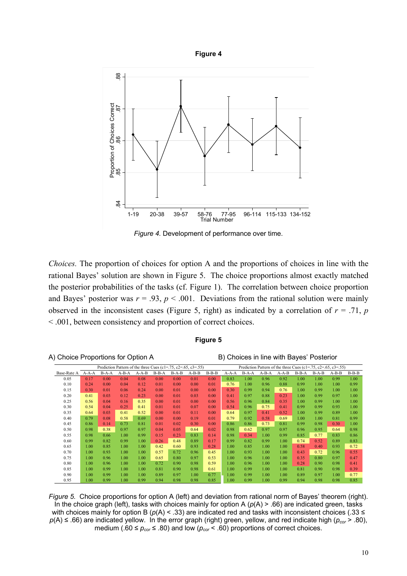



*Figure 4.* Development of performance over time.

*Choices.* The proportion of choices for option A and the proportions of choices in line with the rational Bayes' solution are shown in Figure 5. The choice proportions almost exactly matched the posterior probabilities of the tasks (cf. Figure 1). The correlation between choice proportion and Bayes' posterior was  $r = .93$ ,  $p < .001$ . Deviations from the rational solution were mainly observed in the inconsistent cases (Figure 5, right) as indicated by a correlation of  $r = .71$ , *p* < .001, between consistency and proportion of correct choices.

#### **Figure 5**

A) Choice Proportions for Option A B) Choices in line with Bayes' Posterior

|             | . .                                                           |         |         |                   |         |       |         |         |       |                                                               |         |             |         |         |       |         |  |
|-------------|---------------------------------------------------------------|---------|---------|-------------------|---------|-------|---------|---------|-------|---------------------------------------------------------------|---------|-------------|---------|---------|-------|---------|--|
|             | Prediction Pattern of the three Cues (c1=.75, c2=.65, c3=.55) |         |         |                   |         |       |         |         |       | Prediction Pattern of the three Cues (c1=.75, c2=.65, c3=.55) |         |             |         |         |       |         |  |
| Base-Rate A | $A-A-A$                                                       | $B-A-A$ | $A-B-A$ | $A - A - B$       | $B-B-A$ | B-A-B | $A-B-B$ | $B-B-B$ | A-A-A | $B-A-A$                                                       | $A-B-A$ | $A - A - B$ | $B-B-A$ | $B-A-B$ | A-B-B | $B-B-B$ |  |
| 0.05        | 0.17                                                          | 0.00    | 0.04    | 0.08              | 0.00    | 0.00  | 0.01    | 0.00    | 0.83  | 1.00                                                          | 0.96    | 0.92        | 1.00    | 1.00    | 0.99  | 1.00    |  |
| 0.10        | 0.24                                                          | 0.00    | 0.04    | 0.12              | 0.01    | 0.00  | 0.00    | 0.01    | 0.76  | 1.00                                                          | 0.96    | 0.88        | 0.99    | 1.00    | 1.00  | 0.99    |  |
| 0.15        | 0.30                                                          | 0.01    | 0.06    | 0.24              | 0.00    | 0.01  | 0.00    | 0.00    | 0.30  | 0.99                                                          | 0.94    | 0.76        | 1.00    | 0.99    | 1.00  | 1.00    |  |
| 0.20        | 0.41                                                          | 0.03    | 0.12    | 0.23              | 0.00    | 0.01  | 0.03    | 0.00    | 0.41  | 0.97                                                          | 0.88    | 0.23        | 1.00    | 0.99    | 0.97  | 1.00    |  |
| 0.25        | 0.56                                                          | 0.04    | 0.16    | 0.35              | 0.00    | 0.01  | 0.00    | 0.00    | 0.56  | 0.96                                                          | 0.84    | 0.35        | 1.00    | 0.99    | 1.00  | 1.00    |  |
| 0.30        | 0.54                                                          | 0.04    | 0.25    | 0.41              | 0.01    | 0.01  | 0.07    | 0.00    | 0.54  | 0.96                                                          | 0.75    | 0.41        | 0.99    | 0.99    | 0.93  | 1.00    |  |
| 0.35        | 0.64                                                          | 0.03    | 0.41    | 0.52              | 0.00    | 0.01  | 0.11    | 0.00    | 0.64  | 0.97                                                          | 0.41    | 0.52        | 1.00    | 0.99    | 0.89  | 1.00    |  |
| 0.40        | 0.79                                                          | 0.08    | 0.58    | 0.69              | 0.00    | 0.00  | 0.19    | 0.01    | 0.79  | 0.92                                                          | 0.58    | 0.69        | 1.00    | 1.00    | 0.81  | 0.99    |  |
| 0.45        | 0.86                                                          | 0.14    | 0.73    | 0.81              | 0.01    | 0.02  | 0.30    | 0.00    | 0.86  | 0.86                                                          | 0.73    | 0.81        | 0.99    | 0.98    | 0.30  | 1.00    |  |
| 0.50        | 0.98                                                          | 0.38    | 0.97    | 0.97              | 0.04    | 0.05  | 0.64    | 0.02    | 0.98  | 0.62                                                          | 0.97    | 0.97        | 0.96    | 0.95    | 0.64  | 0.98    |  |
| 0.55        | 0.98                                                          | 0.66    | 1.00    | 0.99              | 0.15    | 0.23  | 0.83    | 0.14    | 0.98  | 0.34                                                          | 1.00    | 0.99        | 0.85    | 0.77    | 0.83  | 0.86    |  |
| 0.60        | 0.99                                                          | 0.82    | 0.99    | 1.00              | 0.26    | 0.48  | 0.89    | 0.17    | 0.99  | 0.82                                                          | 0.99    | 1.00        | 0.74    | 0.52    | 0.89  | 0.83    |  |
| 0.65        | 1.00                                                          | 0.85    | 1.00    | 1.00              | 0.42    | 0.60  | 0.93    | 0.28    | 1.00  | 0.85                                                          | 1.00    | 1.00        | 0.58    | 0.40    | 0.93  | 0.72    |  |
| 0.70        | 1.00                                                          | 0.93    | 1.00    | 1.00              | 0.57    | 0.72  | 0.96    | 0.45    | 1.00  | 0.93                                                          | 1.00    | 1.00        | 0.43    | 0.72    | 0.96  | 0.55    |  |
| 0.75        | 1.00                                                          | 0.96    | 1.00    | 1.00              | 0.65    | 0.80  | 0.97    | 0.53    | 1.00  | 0.96                                                          | 1.00    | 1.00        | 0.35    | 0.80    | 0.97  | 0.47    |  |
| 0.80        | 1.00                                                          | 0.96    | 1.00    | 1.00              | 0.72    | 0.90  | 0.98    | 0.59    | 1.00  | 0.96                                                          | 1.00    | 1.00        | 0.28    | 0.90    | 0.98  | 0.41    |  |
| 0.85        | 1.00                                                          | 0.99    | 1.00    | 1.00              | 0.81    | 0.90  | 0.98    | 0.61    | 1.00  | 0.99                                                          | 1.00    | 1.00        | 0.81    | 0.90    | 0.98  | 0.39    |  |
| 0.90        | 1.00                                                          | 0.99    | 1.00    | 1.00 <sub>1</sub> | 0.89    | 0.97  | 1.00    | 0.77    | 1.00  | 0.99                                                          | 1.00    | 1.00        | 0.89    | 0.97    | 1.00  | 0.77    |  |
| 0.95        | 1.00                                                          | 0.99    | 1.00    | 0.99              | 0.94    | 0.98  | 0.98    | 0.85    | 1.00  | 0.99                                                          | 1.00    | 0.99        | 0.94    | 0.98    | 0.98  | 0.85    |  |

*Figure 5.* Choice proportions for option A (left) and deviation from rational norm of Bayes' theorem (right). In the choice graph (left), tasks with choices mainly for option A ( $p(A)$  > .66) are indicated green, tasks with choices mainly for option B ( $p(A)$  < .33) are indicated red and tasks with inconsistent choices (.33 ≤ *p*(A) ≤ .66) are indicated yellow. In the error graph (right) green, yellow, and red indicate high (*pcor* > .80), medium (.60  $\leq p_{cor} \leq$  .80) and low ( $p_{cor}$  < .60) proportions of correct choices.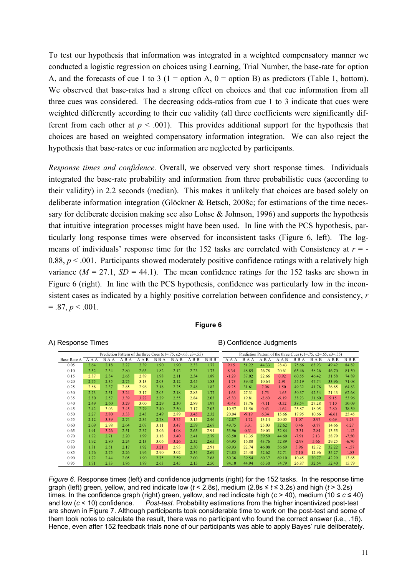To test our hypothesis that information was integrated in a weighted compensatory manner we conducted a logistic regression on choices using Learning, Trial Number, the base-rate for option A, and the forecasts of cue 1 to 3 (1 = option A, 0 = option B) as predictors (Table 1, bottom). We observed that base-rates had a strong effect on choices and that cue information from all three cues was considered. The decreasing odds-ratios from cue 1 to 3 indicate that cues were weighted differently according to their cue validity (all three coefficients were significantly different from each other at  $p < .001$ ). This provides additional support for the hypothesis that choices are based on weighted compensatory information integration. We can also reject the hypothesis that base-rates or cue information are neglected by participants.

*Response times and confidence.* Overall, we observed very short response times. Individuals integrated the base-rate probability and information from three probabilistic cues (according to their validity) in 2.2 seconds (median). This makes it unlikely that choices are based solely on deliberate information integration (Glöckner & Betsch, 2008c; for estimations of the time necessary for deliberate decision making see also Lohse  $\&$  Johnson, 1996) and supports the hypothesis that intuitive integration processes might have been used. In line with the PCS hypothesis, particularly long response times were observed for inconsistent tasks (Figure 6, left). The logmeans of individuals' response time for the  $152$  tasks are correlated with Consistency at  $r = -$ 0.88,  $p < .001$ . Participants showed moderately positive confidence ratings with a relatively high variance  $(M = 27.1, SD = 44.1)$ . The mean confidence ratings for the 152 tasks are shown in Figure 6 (right). In line with the PCS hypothesis, confidence was particularly low in the inconsistent cases as indicated by a highly positive correlation between confidence and consistency, *r*   $= .87, p < .001.$ 

#### **Figure 6**

| Prediction Pattern of the three Cues (c1=.75, c2=.65, c3=.55) |         |         |         |             |         |         |         | Prediction Pattern of the three Cues (c1=.75, c2=.65, c3=.55) |         |         |         |             |         |         |         |         |
|---------------------------------------------------------------|---------|---------|---------|-------------|---------|---------|---------|---------------------------------------------------------------|---------|---------|---------|-------------|---------|---------|---------|---------|
| Base-Rate A                                                   | $A-A-A$ | $B-A-A$ | $A-B-A$ | $A - A - B$ | $B-B-A$ | $B-A-B$ | $A-B-B$ | $B-B-B$                                                       | $A-A-A$ | $B-A-A$ | $A-B-A$ | $A - A - B$ | $B-B-A$ | $B-A-B$ | $A-B-B$ | $B-B-B$ |
| 0.05                                                          | 2.64    | 2.18    | 2.27    | 2.39        | 1.90    | 1.90    | 2.33    | 1.77                                                          | 9.15    | 51.22   | 44.33   | 28.43       | 75.66   | 68.93   | 49.42   | 84.82   |
| 0.10                                                          | 2.52    | 2.34    | 2.80    | 2.63        | 1.82    | 2.12    | 2.23    | 1.73                                                          | 8.34    | 48.85   | 26.78   | 20.61       | 65.46   | 58.26   | 46.70   | 81.50   |
| 0.15                                                          | 2.87    | 2.34    | 2.65    | 2.89        | 1.98    | 2.11    | 2.34    | 1.89                                                          | $-1.29$ | 37.02   | 22.66   | 0.92        | 60.55   | 46.42   | 31.58   | 74.89   |
| 0.20                                                          | 2.75    | 2.35    | 2.75    | 3.13        | 2.03    | 2.12    | 2.45    | 1.83                                                          | $-1.73$ | 39.48   | 10.64   | 2.91        | 55.19   | 47.74   | 33.96   | 71.08   |
| 0.25                                                          | 2.88    | 2.37    | 2.85    | 2.96        | 2.18    | 2.25    | 2.48    | 1.82                                                          | $-9.25$ | 31.61   | 7.06    | 1.50        | 49.32   | 41.76   | 26.85   | 64.83   |
| 0.30                                                          | 2.73    | 2.51    | 3.24    | 3.17        | 2.05    | 2.18    | 2.83    | 1.77                                                          | $-1.63$ | 27.31   | 1.73    | $-1.65$     | 50.37   | 42.54   | 21.43   | 62.68   |
| 0.35                                                          | 2.80    | 2.57    | 3.39    | 3.22        | 2.29    | 2.55    | 2.84    | 2.03                                                          | $-5.30$ | 19.81   | $-2.60$ | $-9.19$     | 38.23   | 31.60   | 9.15    | 53.96   |
| 0.40                                                          | 2.49    | 2.60    | 3.29    | 3.00        | 2.29    | 2.30    | 2.89    | 1.97                                                          | $-0.48$ | 13.76   | $-7.11$ | $-3.52$     | 38.54   | 27.28   | 7.10    | 50.09   |
| 0.45                                                          | 2.42    | 3.03    | 3.45    | 2.79        | 2.40    | 2.50    | 3.17    | 2.03                                                          | 10.57   | 11.56   | 0.43    | $-1.64$     | 25.87   | 18.05   | 2.80    | 38.59   |
| 0.50                                                          | 2.27    | 3.80    | 3.33    | 2.43        | 2.49    | 2.89    | 3.45    | 2.32                                                          | 20.04   | $-9.19$ | 6.34    | 15.66       | 17.95   | 10.66   | $-6.61$ | 25.45   |
| 0.55                                                          | 2.12    | 3.39    | 2.74    | 2.34        | 2.78    | 3.75    | 3.15    | 2.46                                                          | 42.87   | $-1.72$ | 13.14   | 20.05       | 1.07    | $-3.97$ | 0.69    | 9.23    |
| 0.60                                                          | 2.09    | 2.98    | 2.64    | 2.07        | 3.11    | 3.47    | 2.59    | 2.67                                                          | 49.75   | 3.31    | 25.03   | 32.62       | 0.46    | $-3.77$ | 14.66   | 6.27    |
| 0.65                                                          | 1.91    | 3.26    | 2.51    | 2.37        | 3.06    | 4.08    | 2.65    | 2.91                                                          | 53.96   | 0.31    | 29.03   | 32.84       | $-3.31$ | $-2.84$ | 13.55   | $-1.12$ |
| 0.70                                                          | 1.72    | 2.71    | 2.20    | 1.99        | 3.18    | 3.40    | 2.41    | 2.79                                                          | 63.50   | 12.35   | 39.59   | 44.60       | $-7.91$ | 2.13    | 28.79   | $-7.50$ |
| 0.75                                                          | 1.92    | 2.80    | 2.24    | 2.13        | 3.06    | 3.26    | 2.32    | 2.65                                                          | 64.95   | 16.80   | 43.76   | 52.89       | $-2.98$ | 5.66    | 29.25   | $-6.70$ |
| 0.80                                                          | 1.81    | 2.51    | 2.17    | 1.92        | 3.21    | 2.93    | 2.30    | 2.91                                                          | 69.93   | 22.74   | 46.08   | 56.69       | 3.96    | 12.72   | 32.22   | $-1.57$ |
| 0.85                                                          | 1.76    | 2.75    | 2.26    | 1.96        | 2.90    | 3.02    | 2.34    | 2.69                                                          | 74.83   | 24.40   | 52.62   | 52.71       | 7.10    | 12.96   | 35.27   | $-1.83$ |
| 0.90                                                          | 1.72    | 2.44    | 2.05    | 1.90        | 2.75    | 2.59    | 2.00    | 2.68                                                          | 80.36   | 39.54   | 60.37   | 69.10       | 10.45   | 30.77   | 42.29   | 13.65   |
| 0.95                                                          | 1.71    | 2.33    | 1.86    | 1.89        | 2.63    | 2.45    | 2.15    | 2.50                                                          | 84.10   | 44.94   | 65.30   | 74.79       | 26.87   | 32.64   | 52.40   | 15.79   |

#### A) Response Times and B) Confidence Judgments

*Figure 6.* Response times (left) and confidence judgments (right) for the 152 tasks. In the response time graph (left) green, yellow, and red indicate low (*t* < 2.8s), medium (2.8s ≤ *t* ≤ 3.2s) and high (*t* > 3.2s) times. In the confidence graph (right) green, yellow, and red indicate high (*c* > 40), medium (10 ≤ *c* ≤ 40) and low (*c* < 10) confidence. *Post-test.* Probability estimations from the higher incentivized post-test are shown in Figure 7. Although participants took considerable time to work on the post-test and some of them took notes to calculate the result, there was no participant who found the correct answer (i.e., .16). Hence, even after 152 feedback trials none of our participants was able to apply Bayes' rule deliberately.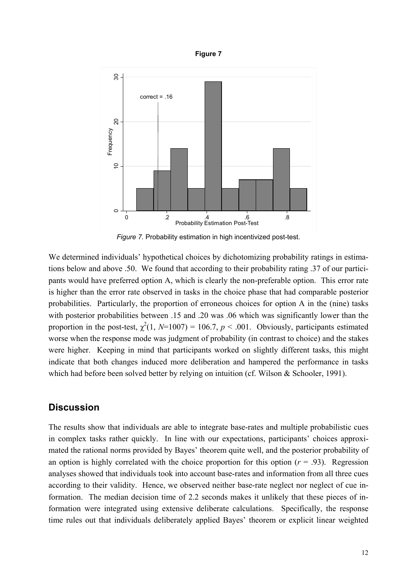



*Figure 7.* Probability estimation in high incentivized post-test.

We determined individuals' hypothetical choices by dichotomizing probability ratings in estimations below and above .50. We found that according to their probability rating .37 of our participants would have preferred option A, which is clearly the non-preferable option. This error rate is higher than the error rate observed in tasks in the choice phase that had comparable posterior probabilities. Particularly, the proportion of erroneous choices for option A in the (nine) tasks with posterior probabilities between .15 and .20 was .06 which was significantly lower than the proportion in the post-test,  $\chi^2(1, N=1007) = 106.7$ ,  $p < .001$ . Obviously, participants estimated worse when the response mode was judgment of probability (in contrast to choice) and the stakes were higher. Keeping in mind that participants worked on slightly different tasks, this might indicate that both changes induced more deliberation and hampered the performance in tasks which had before been solved better by relying on intuition (cf. Wilson & Schooler, 1991).

# **Discussion**

The results show that individuals are able to integrate base-rates and multiple probabilistic cues in complex tasks rather quickly. In line with our expectations, participants' choices approximated the rational norms provided by Bayes' theorem quite well, and the posterior probability of an option is highly correlated with the choice proportion for this option  $(r = .93)$ . Regression analyses showed that individuals took into account base-rates and information from all three cues according to their validity. Hence, we observed neither base-rate neglect nor neglect of cue information. The median decision time of 2.2 seconds makes it unlikely that these pieces of information were integrated using extensive deliberate calculations. Specifically, the response time rules out that individuals deliberately applied Bayes' theorem or explicit linear weighted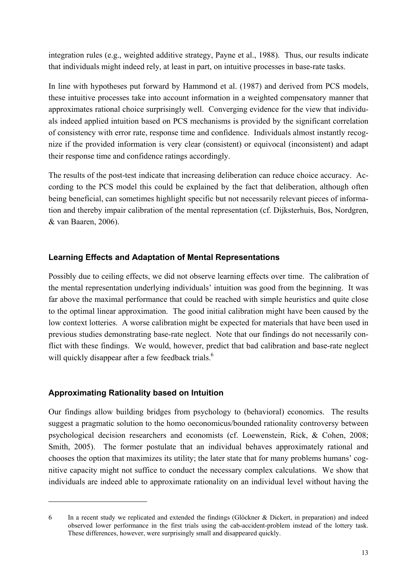integration rules (e.g., weighted additive strategy, Payne et al., 1988). Thus, our results indicate that individuals might indeed rely, at least in part, on intuitive processes in base-rate tasks.

In line with hypotheses put forward by Hammond et al. (1987) and derived from PCS models, these intuitive processes take into account information in a weighted compensatory manner that approximates rational choice surprisingly well. Converging evidence for the view that individuals indeed applied intuition based on PCS mechanisms is provided by the significant correlation of consistency with error rate, response time and confidence. Individuals almost instantly recognize if the provided information is very clear (consistent) or equivocal (inconsistent) and adapt their response time and confidence ratings accordingly.

The results of the post-test indicate that increasing deliberation can reduce choice accuracy. According to the PCS model this could be explained by the fact that deliberation, although often being beneficial, can sometimes highlight specific but not necessarily relevant pieces of information and thereby impair calibration of the mental representation (cf. Dijksterhuis, Bos, Nordgren, & van Baaren, 2006).

## **Learning Effects and Adaptation of Mental Representations**

Possibly due to ceiling effects, we did not observe learning effects over time. The calibration of the mental representation underlying individuals' intuition was good from the beginning. It was far above the maximal performance that could be reached with simple heuristics and quite close to the optimal linear approximation. The good initial calibration might have been caused by the low context lotteries. A worse calibration might be expected for materials that have been used in previous studies demonstrating base-rate neglect. Note that our findings do not necessarily conflict with these findings. We would, however, predict that bad calibration and base-rate neglect will quickly disappear after a few feedback trials.<sup>6</sup>

# **Approximating Rationality based on Intuition**

j

Our findings allow building bridges from psychology to (behavioral) economics. The results suggest a pragmatic solution to the homo oeconomicus/bounded rationality controversy between psychological decision researchers and economists (cf. Loewenstein, Rick, & Cohen, 2008; Smith, 2005). The former postulate that an individual behaves approximately rational and chooses the option that maximizes its utility; the later state that for many problems humans' cognitive capacity might not suffice to conduct the necessary complex calculations. We show that individuals are indeed able to approximate rationality on an individual level without having the

<sup>6</sup> In a recent study we replicated and extended the findings (Glöckner & Dickert, in preparation) and indeed observed lower performance in the first trials using the cab-accident-problem instead of the lottery task. These differences, however, were surprisingly small and disappeared quickly.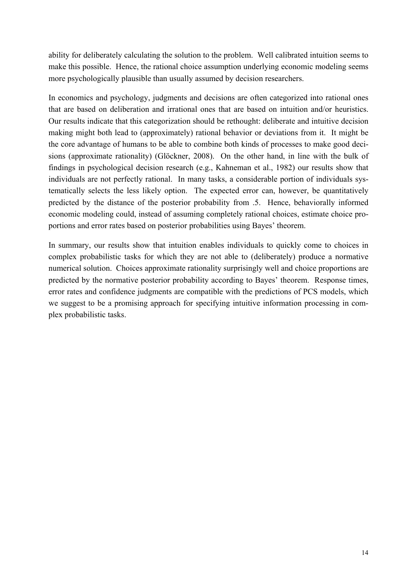ability for deliberately calculating the solution to the problem. Well calibrated intuition seems to make this possible. Hence, the rational choice assumption underlying economic modeling seems more psychologically plausible than usually assumed by decision researchers.

In economics and psychology, judgments and decisions are often categorized into rational ones that are based on deliberation and irrational ones that are based on intuition and/or heuristics. Our results indicate that this categorization should be rethought: deliberate and intuitive decision making might both lead to (approximately) rational behavior or deviations from it. It might be the core advantage of humans to be able to combine both kinds of processes to make good decisions (approximate rationality) (Glöckner, 2008). On the other hand, in line with the bulk of findings in psychological decision research (e.g., Kahneman et al., 1982) our results show that individuals are not perfectly rational. In many tasks, a considerable portion of individuals systematically selects the less likely option. The expected error can, however, be quantitatively predicted by the distance of the posterior probability from .5. Hence, behaviorally informed economic modeling could, instead of assuming completely rational choices, estimate choice proportions and error rates based on posterior probabilities using Bayes' theorem.

In summary, our results show that intuition enables individuals to quickly come to choices in complex probabilistic tasks for which they are not able to (deliberately) produce a normative numerical solution. Choices approximate rationality surprisingly well and choice proportions are predicted by the normative posterior probability according to Bayes' theorem. Response times, error rates and confidence judgments are compatible with the predictions of PCS models, which we suggest to be a promising approach for specifying intuitive information processing in complex probabilistic tasks.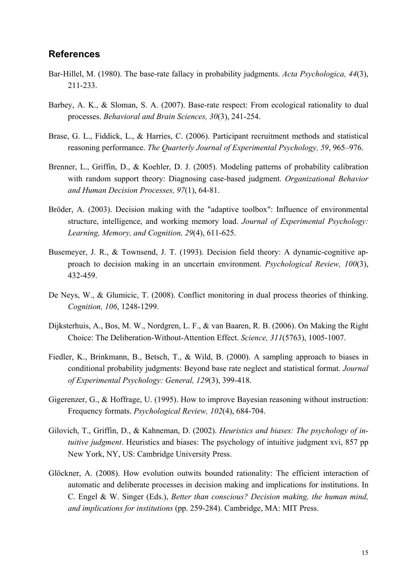## **References**

- Bar-Hillel, M. (1980). The base-rate fallacy in probability judgments. *Acta Psychologica, 44*(3), 211-233.
- Barbey, A. K., & Sloman, S. A. (2007). Base-rate respect: From ecological rationality to dual processes. *Behavioral and Brain Sciences, 30*(3), 241-254.
- Brase, G. L., Fiddick, L., & Harries, C. (2006). Participant recruitment methods and statistical reasoning performance. *The Quarterly Journal of Experimental Psychology, 59*, 965–976.
- Brenner, L., Griffin, D., & Koehler, D. J. (2005). Modeling patterns of probability calibration with random support theory: Diagnosing case-based judgment. *Organizational Behavior and Human Decision Processes, 97*(1), 64-81.
- Bröder, A. (2003). Decision making with the "adaptive toolbox": Influence of environmental structure, intelligence, and working memory load. *Journal of Experimental Psychology: Learning, Memory, and Cognition, 29*(4), 611-625.
- Busemeyer, J. R., & Townsend, J. T. (1993). Decision field theory: A dynamic-cognitive approach to decision making in an uncertain environment. *Psychological Review, 100*(3), 432-459.
- De Neys, W., & Glumicic, T. (2008). Conflict monitoring in dual process theories of thinking. *Cognition, 106*, 1248-1299.
- Dijksterhuis, A., Bos, M. W., Nordgren, L. F., & van Baaren, R. B. (2006). On Making the Right Choice: The Deliberation-Without-Attention Effect. *Science, 311*(5763), 1005-1007.
- Fiedler, K., Brinkmann, B., Betsch, T., & Wild, B. (2000). A sampling approach to biases in conditional probability judgments: Beyond base rate neglect and statistical format. *Journal of Experimental Psychology: General, 129*(3), 399-418.
- Gigerenzer, G., & Hoffrage, U. (1995). How to improve Bayesian reasoning without instruction: Frequency formats. *Psychological Review, 102*(4), 684-704.
- Gilovich, T., Griffin, D., & Kahneman, D. (2002). *Heuristics and biases: The psychology of intuitive judgment*. Heuristics and biases: The psychology of intuitive judgment xvi, 857 pp New York, NY, US: Cambridge University Press.
- Glöckner, A. (2008). How evolution outwits bounded rationality: The efficient interaction of automatic and deliberate processes in decision making and implications for institutions. In C. Engel & W. Singer (Eds.), *Better than conscious? Decision making, the human mind, and implications for institutions* (pp. 259-284). Cambridge, MA: MIT Press.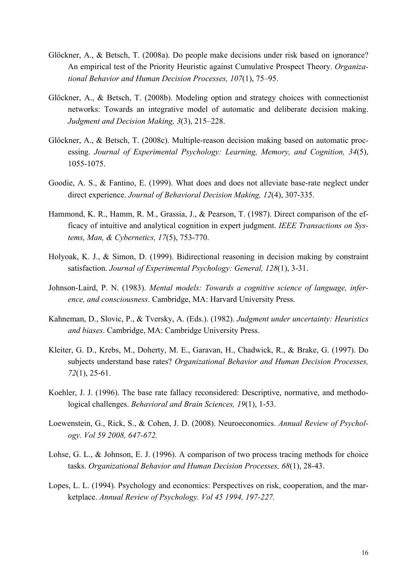- Glöckner, A., & Betsch, T. (2008a). Do people make decisions under risk based on ignorance? An empirical test of the Priority Heuristic against Cumulative Prospect Theory. *Organizational Behavior and Human Decision Processes, 107*(1), 75–95.
- Glöckner, A., & Betsch, T. (2008b). Modeling option and strategy choices with connectionist networks: Towards an integrative model of automatic and deliberate decision making. *Judgment and Decision Making, 3*(3), 215–228.
- Glöckner, A., & Betsch, T. (2008c). Multiple-reason decision making based on automatic processing. *Journal of Experimental Psychology: Learning, Memory, and Cognition, 34*(5), 1055-1075.
- Goodie, A. S., & Fantino, E. (1999). What does and does not alleviate base-rate neglect under direct experience. *Journal of Behavioral Decision Making, 12*(4), 307-335.
- Hammond, K. R., Hamm, R. M., Grassia, J., & Pearson, T. (1987). Direct comparison of the efficacy of intuitive and analytical cognition in expert judgment. *IEEE Transactions on Systems, Man, & Cybernetics, 17*(5), 753-770.
- Holyoak, K. J., & Simon, D. (1999). Bidirectional reasoning in decision making by constraint satisfaction. *Journal of Experimental Psychology: General, 128*(1), 3-31.
- Johnson-Laird, P. N. (1983). *Mental models: Towards a cognitive science of language, inference, and consciousness*. Cambridge, MA: Harvard University Press.
- Kahneman, D., Slovic, P., & Tversky, A. (Eds.). (1982). *Judgment under uncertainty: Heuristics and biases*. Cambridge, MA: Cambridge University Press.
- Kleiter, G. D., Krebs, M., Doherty, M. E., Garavan, H., Chadwick, R., & Brake, G. (1997). Do subjects understand base rates? *Organizational Behavior and Human Decision Processes, 72*(1), 25-61.
- Koehler, J. J. (1996). The base rate fallacy reconsidered: Descriptive, normative, and methodological challenges. *Behavioral and Brain Sciences, 19*(1), 1-53.
- Loewenstein, G., Rick, S., & Cohen, J. D. (2008). Neuroeconomics. *Annual Review of Psychology. Vol 59 2008, 647-672.*
- Lohse, G. L., & Johnson, E. J. (1996). A comparison of two process tracing methods for choice tasks. *Organizational Behavior and Human Decision Processes, 68*(1), 28-43.
- Lopes, L. L. (1994). Psychology and economics: Perspectives on risk, cooperation, and the marketplace. *Annual Review of Psychology. Vol 45 1994, 197-227.*